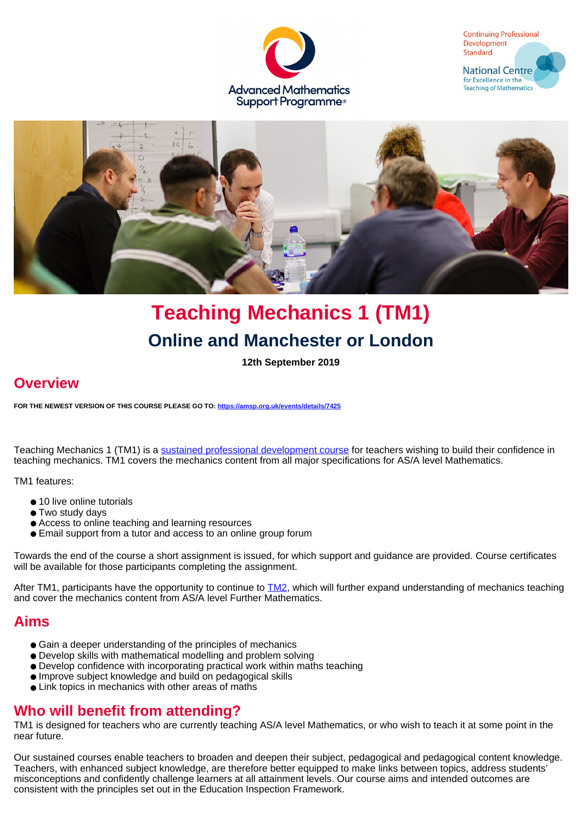





# **Teaching Mechanics 1 (TM1) Online and Manchester or London**

**12th September 2019**

# **Overview**

**FOR THE NEWEST VERSION OF THIS COURSE PLEASE GO TO: <https://amsp.org.uk/events/details/7425>**

Teaching Mechanics 1 (TM1) is a [sustained professional development course](https://amsp.org.uk/events/sustained-pd-courses) for teachers wishing to build their confidence in teaching mechanics. TM1 covers the mechanics content from all major specifications for AS/A level Mathematics.

TM1 features:

- 10 live online tutorials
- Two study days
- Access to online teaching and learning resources
- Email support from a tutor and access to an online group forum

Towards the end of the course a short assignment is issued, for which support and guidance are provided. Course certificates will be available for those participants completing the assignment.

After TM1, participants have the opportunity to continue to **TM2**, which will further expand understanding of mechanics teaching and cover the mechanics content from AS/A level Further Mathematics.

### **Aims**

- Gain a deeper understanding of the principles of mechanics
- Develop skills with mathematical modelling and problem solving
- Develop confidence with incorporating practical work within maths teaching
- Improve subject knowledge and build on pedagogical skills
- Link topics in mechanics with other areas of maths

### **Who will benefit from attending?**

TM1 is designed for teachers who are currently teaching AS/A level Mathematics, or who wish to teach it at some point in the near future.

Our sustained courses enable teachers to broaden and deepen their subject, pedagogical and pedagogical content knowledge. Teachers, with enhanced subject knowledge, are therefore better equipped to make links between topics, address students' misconceptions and confidently challenge learners at all attainment levels. Our course aims and intended outcomes are consistent with the principles set out in the Education Inspection Framework.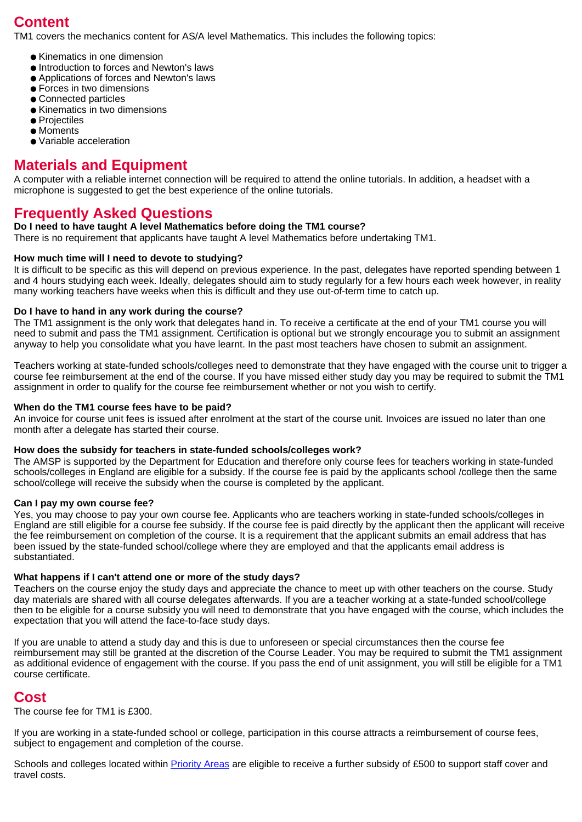# **Content**

TM1 covers the mechanics content for AS/A level Mathematics. This includes the following topics:

- Kinematics in one dimension
- Introduction to forces and Newton's laws
- Applications of forces and Newton's laws
- Forces in two dimensions
- Connected particles
- Kinematics in two dimensions
- Projectiles
- Moments
- Variable acceleration

### **Materials and Equipment**

A computer with a reliable internet connection will be required to attend the online tutorials. In addition, a headset with a microphone is suggested to get the best experience of the online tutorials.

### **Frequently Asked Questions**

#### **Do I need to have taught A level Mathematics before doing the TM1 course?**

There is no requirement that applicants have taught A level Mathematics before undertaking TM1.

#### **How much time will I need to devote to studying?**

It is difficult to be specific as this will depend on previous experience. In the past, delegates have reported spending between 1 and 4 hours studying each week. Ideally, delegates should aim to study regularly for a few hours each week however, in reality many working teachers have weeks when this is difficult and they use out-of-term time to catch up.

#### **Do I have to hand in any work during the course?**

The TM1 assignment is the only work that delegates hand in. To receive a certificate at the end of your TM1 course you will need to submit and pass the TM1 assignment. Certification is optional but we strongly encourage you to submit an assignment anyway to help you consolidate what you have learnt. In the past most teachers have chosen to submit an assignment.

Teachers working at state-funded schools/colleges need to demonstrate that they have engaged with the course unit to trigger a course fee reimbursement at the end of the course. If you have missed either study day you may be required to submit the TM1 assignment in order to qualify for the course fee reimbursement whether or not you wish to certify.

#### **When do the TM1 course fees have to be paid?**

An invoice for course unit fees is issued after enrolment at the start of the course unit. Invoices are issued no later than one month after a delegate has started their course.

#### **How does the subsidy for teachers in state-funded schools/colleges work?**

The AMSP is supported by the Department for Education and therefore only course fees for teachers working in state-funded schools/colleges in England are eligible for a subsidy. If the course fee is paid by the applicants school /college then the same school/college will receive the subsidy when the course is completed by the applicant.

#### **Can I pay my own course fee?**

Yes, you may choose to pay your own course fee. Applicants who are teachers working in state-funded schools/colleges in England are still eligible for a course fee subsidy. If the course fee is paid directly by the applicant then the applicant will receive the fee reimbursement on completion of the course. It is a requirement that the applicant submits an email address that has been issued by the state-funded school/college where they are employed and that the applicants email address is substantiated.

#### **What happens if I can't attend one or more of the study days?**

Teachers on the course enjoy the study days and appreciate the chance to meet up with other teachers on the course. Study day materials are shared with all course delegates afterwards. If you are a teacher working at a state-funded school/college then to be eligible for a course subsidy you will need to demonstrate that you have engaged with the course, which includes the expectation that you will attend the face-to-face study days.

If you are unable to attend a study day and this is due to unforeseen or special circumstances then the course fee reimbursement may still be granted at the discretion of the Course Leader. You may be required to submit the TM1 assignment as additional evidence of engagement with the course. If you pass the end of unit assignment, you will still be eligible for a TM1 course certificate.

### **Cost**

The course fee for TM1 is £300.

If you are working in a state-funded school or college, participation in this course attracts a reimbursement of course fees, subject to engagement and completion of the course.

Schools and colleges located within [Priority Areas](https://amsp.org.uk/about/priority-areas) are eligible to receive a further subsidy of £500 to support staff cover and travel costs.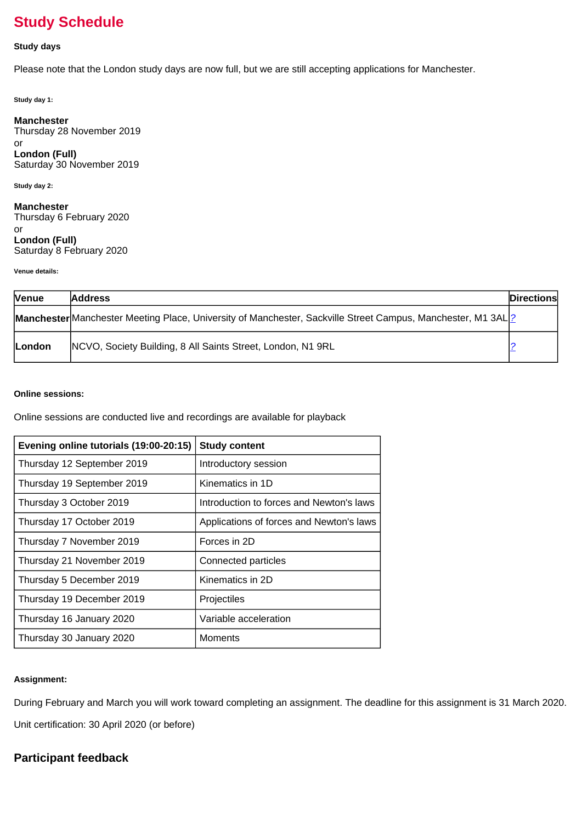# **Study Schedule**

#### **Study days**

Please note that the London study days are now full, but we are still accepting applications for Manchester.

**Study day 1:**

**Manchester** Thursday 28 November 2019 or **London (Full)** Saturday 30 November 2019

**Study day 2:**

**Manchester** Thursday 6 February 2020 or **London (Full)** Saturday 8 February 2020

**Venue details:**

| <b>Venue</b> | <b>Address</b>                                                                                               | <b>Directions</b> |
|--------------|--------------------------------------------------------------------------------------------------------------|-------------------|
|              | Manchester Manchester Meeting Place, University of Manchester, Sackville Street Campus, Manchester, M1 3AL 2 |                   |
| London       | NCVO, Society Building, 8 All Saints Street, London, N1 9RL                                                  |                   |

#### **Online sessions:**

Online sessions are conducted live and recordings are available for playback

| Evening online tutorials (19:00-20:15) | <b>Study content</b>                     |
|----------------------------------------|------------------------------------------|
| Thursday 12 September 2019             | Introductory session                     |
| Thursday 19 September 2019             | Kinematics in 1D                         |
| Thursday 3 October 2019                | Introduction to forces and Newton's laws |
| Thursday 17 October 2019               | Applications of forces and Newton's laws |
| Thursday 7 November 2019               | Forces in 2D                             |
| Thursday 21 November 2019              | Connected particles                      |
| Thursday 5 December 2019               | Kinematics in 2D                         |
| Thursday 19 December 2019              | Projectiles                              |
| Thursday 16 January 2020               | Variable acceleration                    |
| Thursday 30 January 2020               | Moments                                  |

#### **Assignment:**

During February and March you will work toward completing an assignment. The deadline for this assignment is 31 March 2020. Unit certification: 30 April 2020 (or before)

### **Participant feedback**